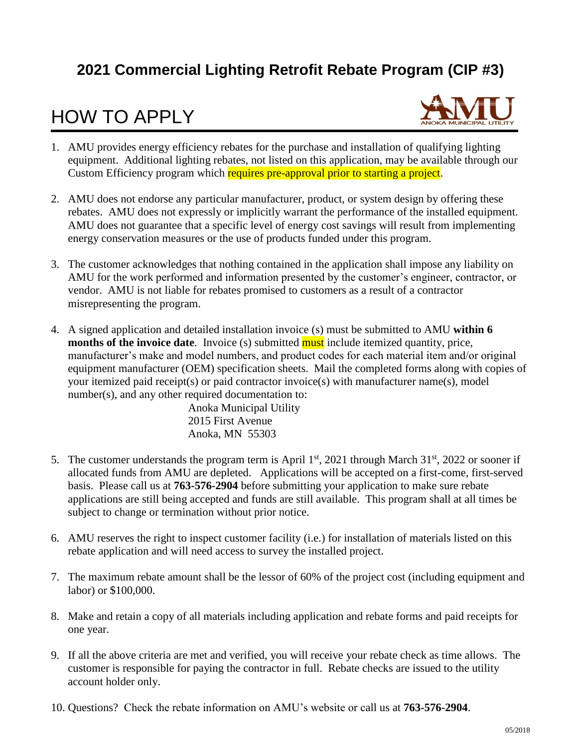### **2021 Commercial Lighting Retrofit Rebate Program (CIP #3)**

### HOW TO APPLY



- 1. AMU provides energy efficiency rebates for the purchase and installation of qualifying lighting equipment. Additional lighting rebates, not listed on this application, may be available through our Custom Efficiency program which requires pre-approval prior to starting a project.
- 2. AMU does not endorse any particular manufacturer, product, or system design by offering these rebates. AMU does not expressly or implicitly warrant the performance of the installed equipment. AMU does not guarantee that a specific level of energy cost savings will result from implementing energy conservation measures or the use of products funded under this program.
- 3. The customer acknowledges that nothing contained in the application shall impose any liability on AMU for the work performed and information presented by the customer's engineer, contractor, or vendor. AMU is not liable for rebates promised to customers as a result of a contractor misrepresenting the program.
- 4. A signed application and detailed installation invoice (s) must be submitted to AMU **within 6 months of the invoice date**. Invoice (s) submitted **must** include itemized quantity, price, manufacturer's make and model numbers, and product codes for each material item and/or original equipment manufacturer (OEM) specification sheets. Mail the completed forms along with copies of your itemized paid receipt(s) or paid contractor invoice(s) with manufacturer name(s), model number(s), and any other required documentation to:

Anoka Municipal Utility 2015 First Avenue Anoka, MN 55303

- 5. The customer understands the program term is April  $1<sup>st</sup>$ , 2021 through March 31 $<sup>st</sup>$ , 2022 or sooner if</sup> allocated funds from AMU are depleted. Applications will be accepted on a first-come, first-served basis. Please call us at **763-576-2904** before submitting your application to make sure rebate applications are still being accepted and funds are still available. This program shall at all times be subject to change or termination without prior notice.
- 6. AMU reserves the right to inspect customer facility (i.e.) for installation of materials listed on this rebate application and will need access to survey the installed project.
- 7. The maximum rebate amount shall be the lessor of 60% of the project cost (including equipment and labor) or \$100,000.
- 8. Make and retain a copy of all materials including application and rebate forms and paid receipts for one year.
- 9. If all the above criteria are met and verified, you will receive your rebate check as time allows. The customer is responsible for paying the contractor in full. Rebate checks are issued to the utility account holder only.
- 10. Questions? Check the rebate information on AMU's website or call us at **763-576-2904**.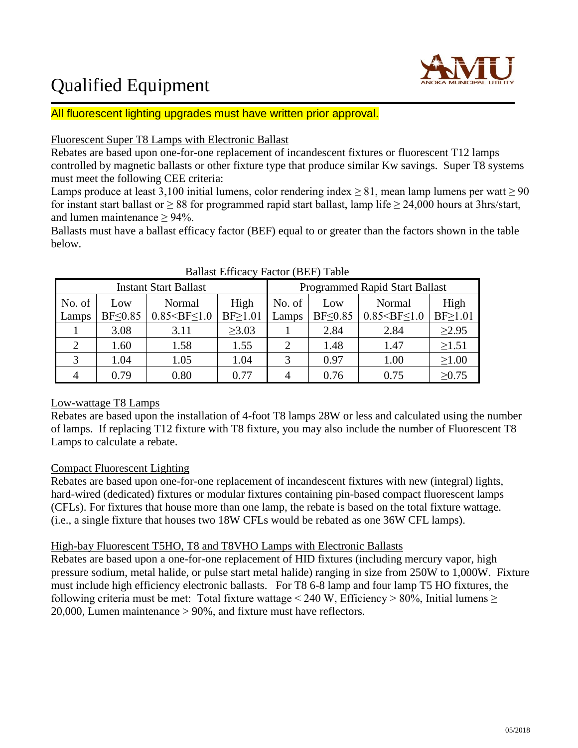### Qualified Equipment



All fluorescent lighting upgrades must have written prior approval.

### Fluorescent Super T8 Lamps with Electronic Ballast

Rebates are based upon one-for-one replacement of incandescent fixtures or fluorescent T12 lamps controlled by magnetic ballasts or other fixture type that produce similar Kw savings. Super T8 systems must meet the following CEE criteria:

Lamps produce at least 3,100 initial lumens, color rendering index  $\geq 81$ , mean lamp lumens per watt  $\geq 90$ for instant start ballast or  $\geq 88$  for programmed rapid start ballast, lamp life  $\geq 24,000$  hours at 3hrs/start, and lumen maintenance  $\geq$  94%.

Ballasts must have a ballast efficacy factor (BEF) equal to or greater than the factors shown in the table below.

|                 |                       | <b>Instant Start Ballast</b>  |                       | <b>Programmed Rapid Start Ballast</b> |                       |                               |                       |  |  |
|-----------------|-----------------------|-------------------------------|-----------------------|---------------------------------------|-----------------------|-------------------------------|-----------------------|--|--|
| No. of<br>Lamps | Low<br>$BF \leq 0.85$ | Normal<br>$0.85 < BF \le 1.0$ | High<br>$BF \ge 1.01$ | No. of<br>Lamps                       | Low<br>$BF \leq 0.85$ | Normal<br>$0.85 < BF \le 1.0$ | High<br>$BF \ge 1.01$ |  |  |
|                 | 3.08                  | 3.11                          | $\geq 3.03$           |                                       | 2.84                  | 2.84                          | $\geq 2.95$           |  |  |
|                 | 1.60                  | 1.58                          | 1.55                  |                                       | 1.48                  | 1.47                          | $\geq 1.51$           |  |  |
| 3               | 1.04                  | 1.05                          | 1.04                  |                                       | 0.97                  | 1.00                          | $\geq 1.00$           |  |  |
|                 | 0.79                  | 0.80                          | 0.77                  |                                       | 0.76                  | 0.75                          | $\geq 0.75$           |  |  |

### Ballast Efficacy Factor (BEF) Table

### Low-wattage T8 Lamps

Rebates are based upon the installation of 4-foot T8 lamps 28W or less and calculated using the number of lamps. If replacing T12 fixture with T8 fixture, you may also include the number of Fluorescent T8 Lamps to calculate a rebate.

### Compact Fluorescent Lighting

Rebates are based upon one-for-one replacement of incandescent fixtures with new (integral) lights, hard-wired (dedicated) fixtures or modular fixtures containing pin-based compact fluorescent lamps (CFLs). For fixtures that house more than one lamp, the rebate is based on the total fixture wattage. (i.e., a single fixture that houses two 18W CFLs would be rebated as one 36W CFL lamps).

### High-bay Fluorescent T5HO, T8 and T8VHO Lamps with Electronic Ballasts

Rebates are based upon a one-for-one replacement of HID fixtures (including mercury vapor, high pressure sodium, metal halide, or pulse start metal halide) ranging in size from 250W to 1,000W. Fixture must include high efficiency electronic ballasts. For T8 6-8 lamp and four lamp T5 HO fixtures, the following criteria must be met: Total fixture wattage < 240 W, Efficiency > 80%, Initial lumens  $\geq$ 20,000, Lumen maintenance > 90%, and fixture must have reflectors.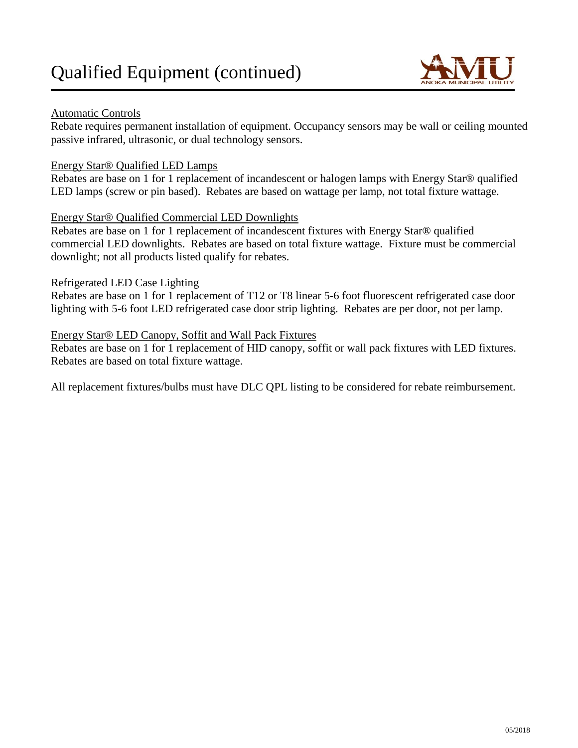

### Automatic Controls

Rebate requires permanent installation of equipment. Occupancy sensors may be wall or ceiling mounted passive infrared, ultrasonic, or dual technology sensors.

### Energy Star® Qualified LED Lamps

Rebates are base on 1 for 1 replacement of incandescent or halogen lamps with Energy Star® qualified LED lamps (screw or pin based). Rebates are based on wattage per lamp, not total fixture wattage.

### Energy Star® Qualified Commercial LED Downlights

Rebates are base on 1 for 1 replacement of incandescent fixtures with Energy Star® qualified commercial LED downlights. Rebates are based on total fixture wattage. Fixture must be commercial downlight; not all products listed qualify for rebates.

### Refrigerated LED Case Lighting

Rebates are base on 1 for 1 replacement of T12 or T8 linear 5-6 foot fluorescent refrigerated case door lighting with 5-6 foot LED refrigerated case door strip lighting. Rebates are per door, not per lamp.

### Energy Star® LED Canopy, Soffit and Wall Pack Fixtures

Rebates are base on 1 for 1 replacement of HID canopy, soffit or wall pack fixtures with LED fixtures. Rebates are based on total fixture wattage.

All replacement fixtures/bulbs must have DLC QPL listing to be considered for rebate reimbursement.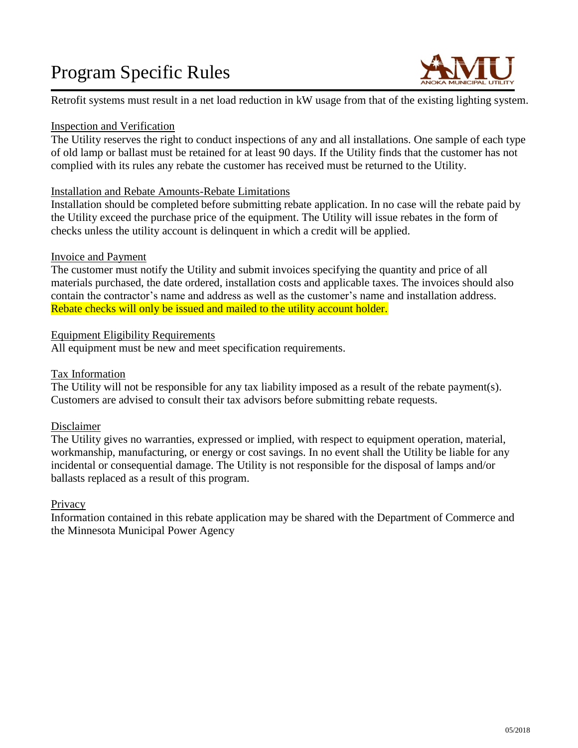## Program Specific Rules



Retrofit systems must result in a net load reduction in kW usage from that of the existing lighting system.

### Inspection and Verification

The Utility reserves the right to conduct inspections of any and all installations. One sample of each type of old lamp or ballast must be retained for at least 90 days. If the Utility finds that the customer has not complied with its rules any rebate the customer has received must be returned to the Utility.

### Installation and Rebate Amounts-Rebate Limitations

Installation should be completed before submitting rebate application. In no case will the rebate paid by the Utility exceed the purchase price of the equipment. The Utility will issue rebates in the form of checks unless the utility account is delinquent in which a credit will be applied.

### Invoice and Payment

The customer must notify the Utility and submit invoices specifying the quantity and price of all materials purchased, the date ordered, installation costs and applicable taxes. The invoices should also contain the contractor's name and address as well as the customer's name and installation address. Rebate checks will only be issued and mailed to the utility account holder.

### Equipment Eligibility Requirements

All equipment must be new and meet specification requirements.

### Tax Information

The Utility will not be responsible for any tax liability imposed as a result of the rebate payment(s). Customers are advised to consult their tax advisors before submitting rebate requests.

### Disclaimer

The Utility gives no warranties, expressed or implied, with respect to equipment operation, material, workmanship, manufacturing, or energy or cost savings. In no event shall the Utility be liable for any incidental or consequential damage. The Utility is not responsible for the disposal of lamps and/or ballasts replaced as a result of this program.

### **Privacy**

Information contained in this rebate application may be shared with the Department of Commerce and the Minnesota Municipal Power Agency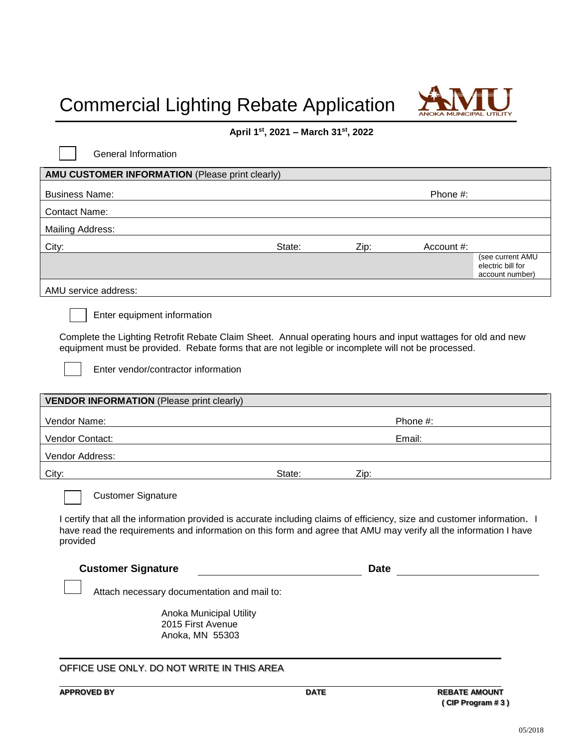# Commercial Lighting Rebate Application



#### **April 1st , 2021 – March 31st , 2022**

| General Information                                                                                                                                                                                                                                                                      |        |      |            |                                                          |
|------------------------------------------------------------------------------------------------------------------------------------------------------------------------------------------------------------------------------------------------------------------------------------------|--------|------|------------|----------------------------------------------------------|
| AMU CUSTOMER INFORMATION (Please print clearly)                                                                                                                                                                                                                                          |        |      |            |                                                          |
| <b>Business Name:</b>                                                                                                                                                                                                                                                                    |        |      | Phone #:   |                                                          |
| <b>Contact Name:</b>                                                                                                                                                                                                                                                                     |        |      |            |                                                          |
| <b>Mailing Address:</b>                                                                                                                                                                                                                                                                  |        |      |            |                                                          |
| City:                                                                                                                                                                                                                                                                                    | State: | Zip: | Account #: |                                                          |
|                                                                                                                                                                                                                                                                                          |        |      |            | (see current AMU<br>electric bill for<br>account number) |
| AMU service address:                                                                                                                                                                                                                                                                     |        |      |            |                                                          |
| Enter equipment information<br>Complete the Lighting Retrofit Rebate Claim Sheet. Annual operating hours and input wattages for old and new<br>equipment must be provided. Rebate forms that are not legible or incomplete will not be processed.<br>Enter vendor/contractor information |        |      |            |                                                          |
| <b>VENDOR INFORMATION (Please print clearly)</b>                                                                                                                                                                                                                                         |        |      |            |                                                          |
| Vendor Name:                                                                                                                                                                                                                                                                             |        |      | Phone #:   |                                                          |
| Vendor Contact:                                                                                                                                                                                                                                                                          |        |      | Email:     |                                                          |
| Vendor Address:                                                                                                                                                                                                                                                                          |        |      |            |                                                          |
| City:                                                                                                                                                                                                                                                                                    | State: | Zip: |            |                                                          |
| <b>Customer Signature</b><br>I certify that all the information provided is accurate including claims of efficiency, size and customer information. I<br>have read the requirements and information on this form and agree that AMU may verify all the information I have<br>provided    |        |      |            |                                                          |
| <b>Customer Signature</b>                                                                                                                                                                                                                                                                |        | Date |            |                                                          |
| Attach necessary documentation and mail to:                                                                                                                                                                                                                                              |        |      |            |                                                          |
| Anoka Municipal Utility<br>2015 First Avenue<br>Anoka, MN 55303                                                                                                                                                                                                                          |        |      |            |                                                          |
| OFFICE USE ONLY. DO NOT WRITE IN THIS AREA                                                                                                                                                                                                                                               |        |      |            |                                                          |

**APPROVED BY DATE REBATE AMOUNT ( CIP Program # 3 )**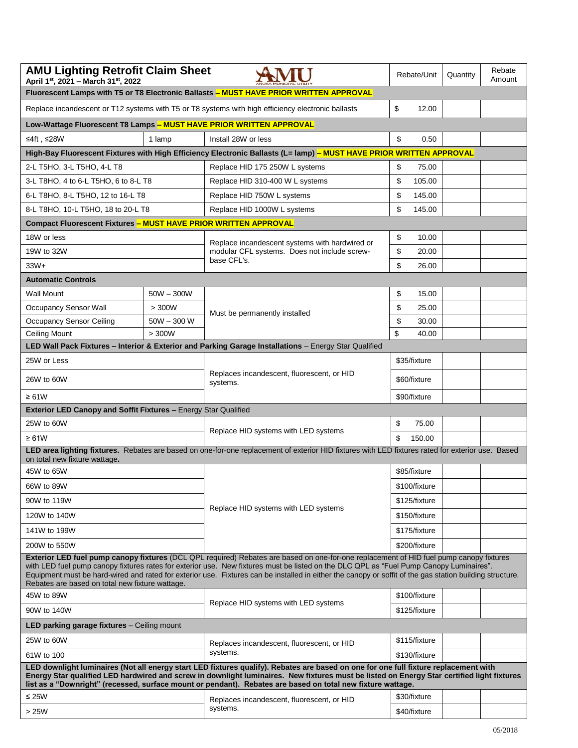| <b>AMU Lighting Retrofit Claim Sheet</b><br>April 1st, 2021 - March 31st, 2022                                      | Rebate/Unit  | Quantity                                                                                                                                                                                                                                                                                                                                                                                                                                       | Rebate<br>Amount |  |  |  |  |  |
|---------------------------------------------------------------------------------------------------------------------|--------------|------------------------------------------------------------------------------------------------------------------------------------------------------------------------------------------------------------------------------------------------------------------------------------------------------------------------------------------------------------------------------------------------------------------------------------------------|------------------|--|--|--|--|--|
| Fluorescent Lamps with T5 or T8 Electronic Ballasts - MUST HAVE PRIOR WRITTEN APPROVAL                              |              |                                                                                                                                                                                                                                                                                                                                                                                                                                                |                  |  |  |  |  |  |
| Replace incandescent or T12 systems with T5 or T8 systems with high efficiency electronic ballasts                  | \$<br>12.00  |                                                                                                                                                                                                                                                                                                                                                                                                                                                |                  |  |  |  |  |  |
| Low-Wattage Fluorescent T8 Lamps - MUST HAVE PRIOR WRITTEN APPROVAL                                                 |              |                                                                                                                                                                                                                                                                                                                                                                                                                                                |                  |  |  |  |  |  |
| ≤4ft, ≤28W                                                                                                          | 1 lamp       | Install 28W or less                                                                                                                                                                                                                                                                                                                                                                                                                            | \$<br>0.50       |  |  |  |  |  |
| High-Bay Fluorescent Fixtures with High Efficiency Electronic Ballasts (L= lamp) - MUST HAVE PRIOR WRITTEN APPROVAL |              |                                                                                                                                                                                                                                                                                                                                                                                                                                                |                  |  |  |  |  |  |
| 2-L T5HO, 3-L T5HO, 4-L T8                                                                                          |              | Replace HID 175 250W L systems                                                                                                                                                                                                                                                                                                                                                                                                                 | \$<br>75.00      |  |  |  |  |  |
| 3-L T8HO, 4 to 6-L T5HO, 6 to 8-L T8                                                                                |              | Replace HID 310-400 W L systems                                                                                                                                                                                                                                                                                                                                                                                                                | \$<br>105.00     |  |  |  |  |  |
| 6-L T8HO, 8-L T5HO, 12 to 16-L T8                                                                                   |              | Replace HID 750W L systems                                                                                                                                                                                                                                                                                                                                                                                                                     | \$<br>145.00     |  |  |  |  |  |
| 8-L T8HO, 10-L T5HO, 18 to 20-L T8                                                                                  |              | Replace HID 1000W L systems                                                                                                                                                                                                                                                                                                                                                                                                                    | \$<br>145.00     |  |  |  |  |  |
| Compact Fluorescent Fixtures - MUST HAVE PRIOR WRITTEN APPROVAL                                                     |              |                                                                                                                                                                                                                                                                                                                                                                                                                                                |                  |  |  |  |  |  |
| 18W or less                                                                                                         |              | Replace incandescent systems with hardwired or                                                                                                                                                                                                                                                                                                                                                                                                 | \$<br>10.00      |  |  |  |  |  |
| 19W to 32W                                                                                                          |              | modular CFL systems. Does not include screw-                                                                                                                                                                                                                                                                                                                                                                                                   | \$<br>20.00      |  |  |  |  |  |
| $33W+$                                                                                                              |              | base CFL's.                                                                                                                                                                                                                                                                                                                                                                                                                                    | \$<br>26.00      |  |  |  |  |  |
| <b>Automatic Controls</b>                                                                                           |              |                                                                                                                                                                                                                                                                                                                                                                                                                                                |                  |  |  |  |  |  |
| <b>Wall Mount</b>                                                                                                   | $50W - 300W$ |                                                                                                                                                                                                                                                                                                                                                                                                                                                | \$<br>15.00      |  |  |  |  |  |
| <b>Occupancy Sensor Wall</b>                                                                                        | > 300W       | Must be permanently installed                                                                                                                                                                                                                                                                                                                                                                                                                  | \$<br>25.00      |  |  |  |  |  |
| <b>Occupancy Sensor Ceiling</b>                                                                                     | $50W - 300W$ |                                                                                                                                                                                                                                                                                                                                                                                                                                                | \$<br>30.00      |  |  |  |  |  |
| <b>Ceiling Mount</b>                                                                                                | > 300W       |                                                                                                                                                                                                                                                                                                                                                                                                                                                | \$<br>40.00      |  |  |  |  |  |
|                                                                                                                     |              | LED Wall Pack Fixtures - Interior & Exterior and Parking Garage Installations - Energy Star Qualified                                                                                                                                                                                                                                                                                                                                          |                  |  |  |  |  |  |
| 25W or Less                                                                                                         |              | Replaces incandescent, fluorescent, or HID                                                                                                                                                                                                                                                                                                                                                                                                     | \$35/fixture     |  |  |  |  |  |
| 26W to 60W                                                                                                          |              | systems.                                                                                                                                                                                                                                                                                                                                                                                                                                       | \$60/fixture     |  |  |  |  |  |
| $\geq 61W$<br>Exterior LED Canopy and Soffit Fixtures - Energy Star Qualified                                       |              |                                                                                                                                                                                                                                                                                                                                                                                                                                                | \$90/fixture     |  |  |  |  |  |
| 25W to 60W                                                                                                          |              |                                                                                                                                                                                                                                                                                                                                                                                                                                                | \$<br>75.00      |  |  |  |  |  |
|                                                                                                                     |              | Replace HID systems with LED systems                                                                                                                                                                                                                                                                                                                                                                                                           | 150.00           |  |  |  |  |  |
| $\geq 61W$                                                                                                          |              | LED area lighting fixtures. Rebates are based on one-for-one replacement of exterior HID fixtures with LED fixtures rated for exterior use. Based                                                                                                                                                                                                                                                                                              | \$               |  |  |  |  |  |
| on total new fixture wattage.                                                                                       |              |                                                                                                                                                                                                                                                                                                                                                                                                                                                |                  |  |  |  |  |  |
| 45W to 65W                                                                                                          |              |                                                                                                                                                                                                                                                                                                                                                                                                                                                | \$85/fixture     |  |  |  |  |  |
| 66W to 89W                                                                                                          |              |                                                                                                                                                                                                                                                                                                                                                                                                                                                | \$100/fixture    |  |  |  |  |  |
| 90W to 119W                                                                                                         |              | Replace HID systems with LED systems                                                                                                                                                                                                                                                                                                                                                                                                           | \$125/fixture    |  |  |  |  |  |
| 120W to 140W                                                                                                        |              |                                                                                                                                                                                                                                                                                                                                                                                                                                                | \$150/fixture    |  |  |  |  |  |
| 141W to 199W                                                                                                        |              |                                                                                                                                                                                                                                                                                                                                                                                                                                                | \$175/fixture    |  |  |  |  |  |
| 200W to 550W                                                                                                        |              |                                                                                                                                                                                                                                                                                                                                                                                                                                                | \$200/fixture    |  |  |  |  |  |
| Rebates are based on total new fixture wattage.                                                                     |              | Exterior LED fuel pump canopy fixtures (DCL QPL required) Rebates are based on one-for-one replacement of HID fuel pump canopy fixtures<br>with LED fuel pump canopy fixtures rates for exterior use. New fixtures must be listed on the DLC QPL as "Fuel Pump Canopy Luminaires".<br>Equipment must be hard-wired and rated for exterior use. Fixtures can be installed in either the canopy or soffit of the gas station building structure. |                  |  |  |  |  |  |
| 45W to 89W                                                                                                          |              |                                                                                                                                                                                                                                                                                                                                                                                                                                                | \$100/fixture    |  |  |  |  |  |
| 90W to 140W                                                                                                         |              | Replace HID systems with LED systems                                                                                                                                                                                                                                                                                                                                                                                                           | \$125/fixture    |  |  |  |  |  |
| LED parking garage fixtures - Ceiling mount                                                                         |              |                                                                                                                                                                                                                                                                                                                                                                                                                                                |                  |  |  |  |  |  |
| 25W to 60W                                                                                                          |              | Replaces incandescent, fluorescent, or HID                                                                                                                                                                                                                                                                                                                                                                                                     | \$115/fixture    |  |  |  |  |  |
| 61W to 100                                                                                                          |              | systems.                                                                                                                                                                                                                                                                                                                                                                                                                                       | \$130/fixture    |  |  |  |  |  |
|                                                                                                                     |              | LED downlight luminaires (Not all energy start LED fixtures qualify). Rebates are based on one for one full fixture replacement with<br>Energy Star qualified LED hardwired and screw in downlight luminaires. New fixtures must be listed on Energy Star certified light fixtures<br>list as a "Downright" (recessed, surface mount or pendant). Rebates are based on total new fixture wattage.                                              |                  |  |  |  |  |  |
| ≤ 25 $W$                                                                                                            |              | Replaces incandescent, fluorescent, or HID                                                                                                                                                                                                                                                                                                                                                                                                     | \$30/fixture     |  |  |  |  |  |
| > 25W                                                                                                               |              | systems.                                                                                                                                                                                                                                                                                                                                                                                                                                       | \$40/fixture     |  |  |  |  |  |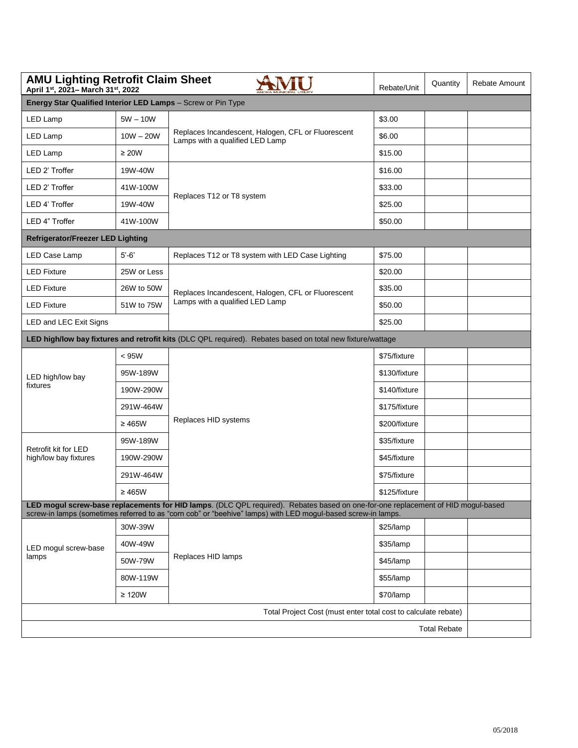| <b>AMU Lighting Retrofit Claim Sheet</b><br>April 1st, 2021- March 31st, 2022 | Rebate/Unit | Quantity                                                                                                                                                                                                                                         | Rebate Amount |                     |  |  |  |  |  |
|-------------------------------------------------------------------------------|-------------|--------------------------------------------------------------------------------------------------------------------------------------------------------------------------------------------------------------------------------------------------|---------------|---------------------|--|--|--|--|--|
| Energy Star Qualified Interior LED Lamps - Screw or Pin Type                  |             |                                                                                                                                                                                                                                                  |               |                     |  |  |  |  |  |
| LED Lamp                                                                      | $5W - 10W$  |                                                                                                                                                                                                                                                  | \$3.00        |                     |  |  |  |  |  |
| LED Lamp                                                                      | $10W - 20W$ | Replaces Incandescent, Halogen, CFL or Fluorescent<br>Lamps with a qualified LED Lamp                                                                                                                                                            | \$6.00        |                     |  |  |  |  |  |
| LED Lamp                                                                      | $\geq 20W$  |                                                                                                                                                                                                                                                  | \$15.00       |                     |  |  |  |  |  |
| LED 2' Troffer                                                                | 19W-40W     |                                                                                                                                                                                                                                                  | \$16.00       |                     |  |  |  |  |  |
| LED 2' Troffer                                                                | 41W-100W    |                                                                                                                                                                                                                                                  | \$33.00       |                     |  |  |  |  |  |
| LED 4' Troffer                                                                | 19W-40W     | Replaces T12 or T8 system                                                                                                                                                                                                                        | \$25.00       |                     |  |  |  |  |  |
| LED 4" Troffer                                                                | 41W-100W    |                                                                                                                                                                                                                                                  | \$50.00       |                     |  |  |  |  |  |
| <b>Refrigerator/Freezer LED Lighting</b>                                      |             |                                                                                                                                                                                                                                                  |               |                     |  |  |  |  |  |
| LED Case Lamp                                                                 | $5'-6'$     | Replaces T12 or T8 system with LED Case Lighting                                                                                                                                                                                                 | \$75.00       |                     |  |  |  |  |  |
| <b>LED Fixture</b>                                                            | 25W or Less |                                                                                                                                                                                                                                                  | \$20.00       |                     |  |  |  |  |  |
| <b>LED Fixture</b>                                                            | 26W to 50W  | Replaces Incandescent, Halogen, CFL or Fluorescent                                                                                                                                                                                               | \$35.00       |                     |  |  |  |  |  |
| <b>LED Fixture</b>                                                            | 51W to 75W  | Lamps with a qualified LED Lamp                                                                                                                                                                                                                  | \$50.00       |                     |  |  |  |  |  |
| <b>LED and LEC Exit Signs</b>                                                 |             |                                                                                                                                                                                                                                                  | \$25.00       |                     |  |  |  |  |  |
|                                                                               |             | LED high/low bay fixtures and retrofit kits (DLC QPL required). Rebates based on total new fixture/wattage                                                                                                                                       |               |                     |  |  |  |  |  |
|                                                                               | < 95W       |                                                                                                                                                                                                                                                  | \$75/fixture  |                     |  |  |  |  |  |
| LED high/low bay                                                              | 95W-189W    |                                                                                                                                                                                                                                                  | \$130/fixture |                     |  |  |  |  |  |
| fixtures                                                                      | 190W-290W   |                                                                                                                                                                                                                                                  | \$140/fixture |                     |  |  |  |  |  |
|                                                                               | 291W-464W   |                                                                                                                                                                                                                                                  | \$175/fixture |                     |  |  |  |  |  |
|                                                                               | $\geq 465W$ | Replaces HID systems                                                                                                                                                                                                                             | \$200/fixture |                     |  |  |  |  |  |
| Retrofit kit for LED                                                          | 95W-189W    |                                                                                                                                                                                                                                                  | \$35/fixture  |                     |  |  |  |  |  |
| high/low bay fixtures                                                         | 190W-290W   |                                                                                                                                                                                                                                                  | \$45/fixture  |                     |  |  |  |  |  |
|                                                                               | 291W-464W   |                                                                                                                                                                                                                                                  | \$75/fixture  |                     |  |  |  |  |  |
|                                                                               | $\geq 465W$ |                                                                                                                                                                                                                                                  | \$125/fixture |                     |  |  |  |  |  |
|                                                                               |             | LED mogul screw-base replacements for HID lamps. (DLC QPL required). Rebates based on one-for-one replacement of HID mogul-based<br>screw-in lamps (sometimes referred to as "corn cob" or "beehive" lamps) with LED mogul-based screw-in lamps. |               |                     |  |  |  |  |  |
|                                                                               | 30W-39W     |                                                                                                                                                                                                                                                  | \$25/lamp     |                     |  |  |  |  |  |
| LED mogul screw-base                                                          | 40W-49W     |                                                                                                                                                                                                                                                  | \$35/lamp     |                     |  |  |  |  |  |
| lamps                                                                         | 50W-79W     | Replaces HID lamps                                                                                                                                                                                                                               | \$45/lamp     |                     |  |  |  |  |  |
|                                                                               | 80W-119W    |                                                                                                                                                                                                                                                  | \$55/lamp     |                     |  |  |  |  |  |
|                                                                               | $\geq$ 120W |                                                                                                                                                                                                                                                  | \$70/lamp     |                     |  |  |  |  |  |
|                                                                               |             | Total Project Cost (must enter total cost to calculate rebate)                                                                                                                                                                                   |               |                     |  |  |  |  |  |
|                                                                               |             |                                                                                                                                                                                                                                                  |               | <b>Total Rebate</b> |  |  |  |  |  |